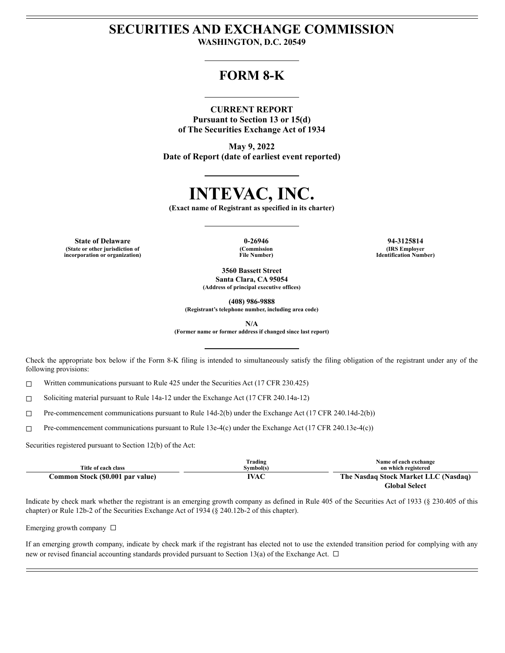# **SECURITIES AND EXCHANGE COMMISSION WASHINGTON, D.C. 20549**

# **FORM 8-K**

## **CURRENT REPORT**

**Pursuant to Section 13 or 15(d) of The Securities Exchange Act of 1934**

**May 9, 2022 Date of Report (date of earliest event reported)**

# **INTEVAC, INC.**

**(Exact name of Registrant as specified in its charter)**

**State of Delaware 0-26946 94-3125814 (State or other jurisdiction of incorporation or organization)**

**(Commission File Number)**

**(IRS Employer Identification Number)**

**3560 Bassett Street Santa Clara, CA 95054 (Address of principal executive offices)**

**(408) 986-9888 (Registrant's telephone number, including area code)**

**N/A**

**(Former name or former address if changed since last report)**

Check the appropriate box below if the Form 8-K filing is intended to simultaneously satisfy the filing obligation of the registrant under any of the following provisions:

 $\Box$  Written communications pursuant to Rule 425 under the Securities Act (17 CFR 230.425)

☐ Soliciting material pursuant to Rule 14a-12 under the Exchange Act (17 CFR 240.14a-12)

☐ Pre-commencement communications pursuant to Rule 14d-2(b) under the Exchange Act (17 CFR 240.14d-2(b))

☐ Pre-commencement communications pursuant to Rule 13e-4(c) under the Exchange Act (17 CFR 240.13e-4(c))

Securities registered pursuant to Section 12(b) of the Act:

| Title of each class              | Trading<br>Symbol(s) | Name of each exchange<br>on which registered          |
|----------------------------------|----------------------|-------------------------------------------------------|
| Common Stock (\$0.001 par value) | IVAC                 | The Nasdaq Stock Market LLC (Nasdaq)<br>Global Select |

Indicate by check mark whether the registrant is an emerging growth company as defined in Rule 405 of the Securities Act of 1933 (§ 230.405 of this chapter) or Rule 12b-2 of the Securities Exchange Act of 1934 (§ 240.12b-2 of this chapter).

Emerging growth company  $\Box$ 

If an emerging growth company, indicate by check mark if the registrant has elected not to use the extended transition period for complying with any new or revised financial accounting standards provided pursuant to Section 13(a) of the Exchange Act.  $\Box$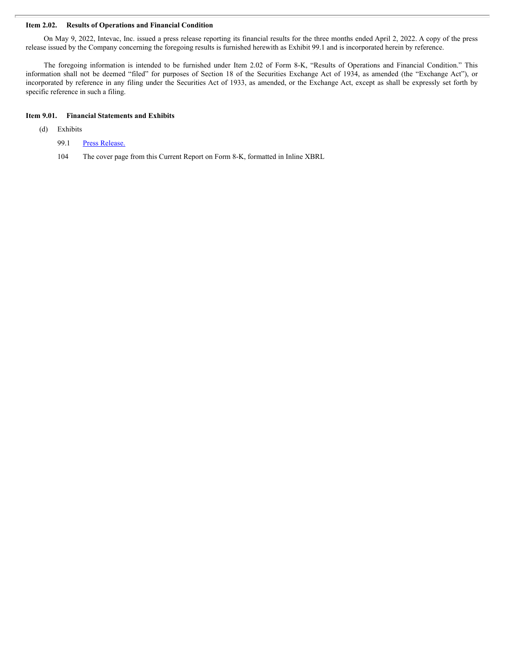#### **Item 2.02. Results of Operations and Financial Condition**

On May 9, 2022, Intevac, Inc. issued a press release reporting its financial results for the three months ended April 2, 2022. A copy of the press release issued by the Company concerning the foregoing results is furnished herewith as Exhibit 99.1 and is incorporated herein by reference.

The foregoing information is intended to be furnished under Item 2.02 of Form 8-K, "Results of Operations and Financial Condition." This information shall not be deemed "filed" for purposes of Section 18 of the Securities Exchange Act of 1934, as amended (the "Exchange Act"), or incorporated by reference in any filing under the Securities Act of 1933, as amended, or the Exchange Act, except as shall be expressly set forth by specific reference in such a filing.

#### **Item 9.01. Financial Statements and Exhibits**

- (d) Exhibits
	- 99.1 Press [Release.](#page-3-0)
	- 104 The cover page from this Current Report on Form 8-K, formatted in Inline XBRL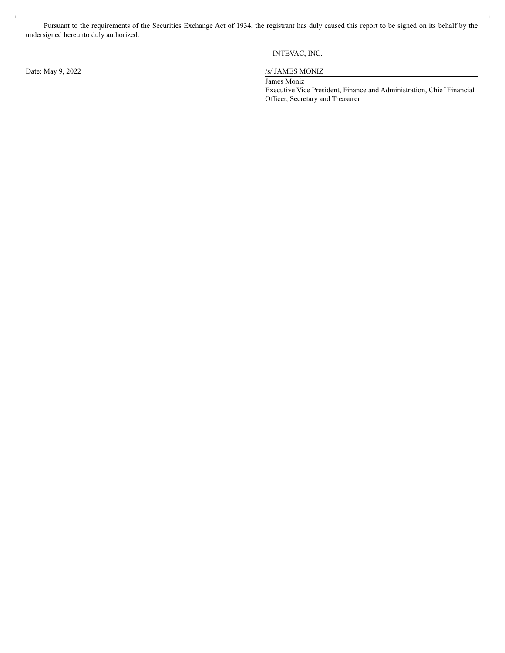Pursuant to the requirements of the Securities Exchange Act of 1934, the registrant has duly caused this report to be signed on its behalf by the undersigned hereunto duly authorized.

Date: May 9, 2022 /s/ JAMES MONIZ

# INTEVAC, INC.

James Moniz Executive Vice President, Finance and Administration, Chief Financial Officer, Secretary and Treasurer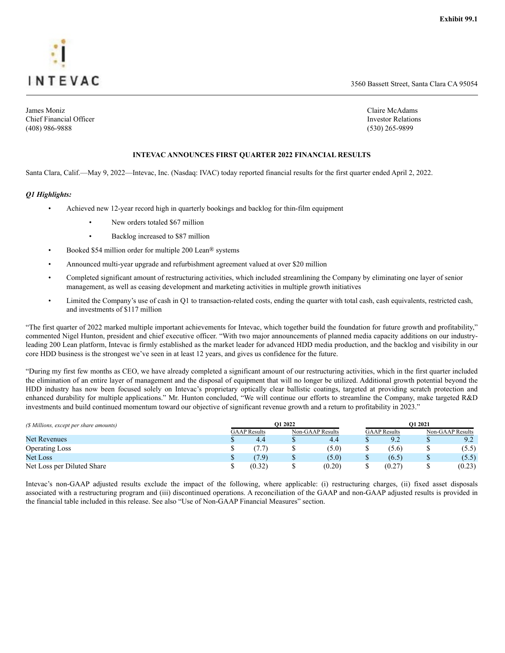<span id="page-3-0"></span>

Chief Financial Officer Investor Relations and The Investor Relations Investor Relations Investor Relations in (408) 986-9888 (530) 265-9899

3560 Bassett Street, Santa Clara CA 95054

James Moniz Claire McAdams

#### **INTEVAC ANNOUNCES FIRST QUARTER 2022 FINANCIAL RESULTS**

Santa Clara, Calif.—May 9, 2022—Intevac, Inc. (Nasdaq: IVAC) today reported financial results for the first quarter ended April 2, 2022.

#### *Q1 Highlights:*

- Achieved new 12-year record high in quarterly bookings and backlog for thin-film equipment
	- New orders totaled \$67 million
	- Backlog increased to \$87 million
- Booked \$54 million order for multiple 200 Lean<sup>®</sup> systems
- Announced multi-year upgrade and refurbishment agreement valued at over \$20 million
- Completed significant amount of restructuring activities, which included streamlining the Company by eliminating one layer of senior management, as well as ceasing development and marketing activities in multiple growth initiatives
- Limited the Company's use of cash in Q1 to transaction-related costs, ending the quarter with total cash, cash equivalents, restricted cash, and investments of \$117 million

"The first quarter of 2022 marked multiple important achievements for Intevac, which together build the foundation for future growth and profitability," commented Nigel Hunton, president and chief executive officer. "With two major announcements of planned media capacity additions on our industryleading 200 Lean platform, Intevac is firmly established as the market leader for advanced HDD media production, and the backlog and visibility in our core HDD business is the strongest we've seen in at least 12 years, and gives us confidence for the future.

"During my first few months as CEO, we have already completed a significant amount of our restructuring activities, which in the first quarter included the elimination of an entire layer of management and the disposal of equipment that will no longer be utilized. Additional growth potential beyond the HDD industry has now been focused solely on Intevac's proprietary optically clear ballistic coatings, targeted at providing scratch protection and enhanced durability for multiple applications." Mr. Hunton concluded, "We will continue our efforts to streamline the Company, make targeted R&D investments and build continued momentum toward our objective of significant revenue growth and a return to profitability in 2023."

| (\$ Millions, except per share amounts) | O1 2022             |   |                  | O1 2021             |   |                  |  |
|-----------------------------------------|---------------------|---|------------------|---------------------|---|------------------|--|
|                                         | <b>GAAP</b> Results |   | Non-GAAP Results | <b>GAAP</b> Results |   | Non-GAAP Results |  |
| <b>Net Revenues</b>                     | 4.4                 |   | 4.4              | 9.2                 |   | 9.2              |  |
| <b>Operating Loss</b>                   |                     |   | (5.0)            | (5.6)               |   | (5.5)            |  |
| Net Loss                                | (7.9)               | Φ | (5.0)            | (6.5)               | Ψ | (5.5)            |  |
| Net Loss per Diluted Share              | (0.32)              |   | (0.20)           | (0.27)              |   | (0.23)           |  |

Intevac's non-GAAP adjusted results exclude the impact of the following, where applicable: (i) restructuring charges, (ii) fixed asset disposals associated with a restructuring program and (iii) discontinued operations. A reconciliation of the GAAP and non-GAAP adjusted results is provided in the financial table included in this release. See also "Use of Non-GAAP Financial Measures" section.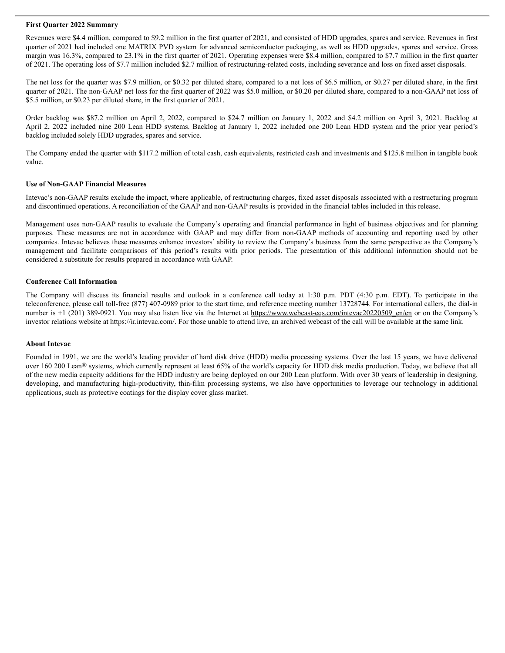#### **First Quarter 2022 Summary**

Revenues were \$4.4 million, compared to \$9.2 million in the first quarter of 2021, and consisted of HDD upgrades, spares and service. Revenues in first quarter of 2021 had included one MATRIX PVD system for advanced semiconductor packaging, as well as HDD upgrades, spares and service. Gross margin was 16.3%, compared to 23.1% in the first quarter of 2021. Operating expenses were \$8.4 million, compared to \$7.7 million in the first quarter of 2021. The operating loss of \$7.7 million included \$2.7 million of restructuring-related costs, including severance and loss on fixed asset disposals.

The net loss for the quarter was \$7.9 million, or \$0.32 per diluted share, compared to a net loss of \$6.5 million, or \$0.27 per diluted share, in the first quarter of 2021. The non-GAAP net loss for the first quarter of 2022 was \$5.0 million, or \$0.20 per diluted share, compared to a non-GAAP net loss of \$5.5 million, or \$0.23 per diluted share, in the first quarter of 2021.

Order backlog was \$87.2 million on April 2, 2022, compared to \$24.7 million on January 1, 2022 and \$4.2 million on April 3, 2021. Backlog at April 2, 2022 included nine 200 Lean HDD systems. Backlog at January 1, 2022 included one 200 Lean HDD system and the prior year period's backlog included solely HDD upgrades, spares and service.

The Company ended the quarter with \$117.2 million of total cash, cash equivalents, restricted cash and investments and \$125.8 million in tangible book value.

#### **Use of Non-GAAP Financial Measures**

Intevac's non-GAAP results exclude the impact, where applicable, of restructuring charges, fixed asset disposals associated with a restructuring program and discontinued operations. A reconciliation of the GAAP and non-GAAP results is provided in the financial tables included in this release.

Management uses non-GAAP results to evaluate the Company's operating and financial performance in light of business objectives and for planning purposes. These measures are not in accordance with GAAP and may differ from non-GAAP methods of accounting and reporting used by other companies. Intevac believes these measures enhance investors' ability to review the Company's business from the same perspective as the Company's management and facilitate comparisons of this period's results with prior periods. The presentation of this additional information should not be considered a substitute for results prepared in accordance with GAAP.

#### **Conference Call Information**

The Company will discuss its financial results and outlook in a conference call today at 1:30 p.m. PDT (4:30 p.m. EDT). To participate in the teleconference, please call toll-free (877) 407-0989 prior to the start time, and reference meeting number 13728744. For international callers, the dial-in number is +1 (201) 389-0921. You may also listen live via the Internet at https://www.webcast-eqs.com/intevac20220509\_en/en or on the Company's investor relations website at https://ir.intevac.com/. For those unable to attend live, an archived webcast of the call will be available at the same link.

#### **About Intevac**

Founded in 1991, we are the world's leading provider of hard disk drive (HDD) media processing systems. Over the last 15 years, we have delivered over 160 200 Lean® systems, which currently represent at least 65% of the world's capacity for HDD disk media production. Today, we believe that all of the new media capacity additions for the HDD industry are being deployed on our 200 Lean platform. With over 30 years of leadership in designing, developing, and manufacturing high-productivity, thin-film processing systems, we also have opportunities to leverage our technology in additional applications, such as protective coatings for the display cover glass market.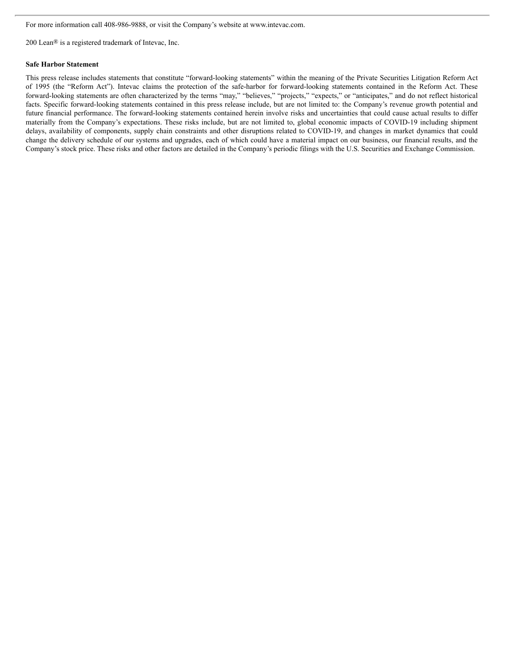For more information call 408-986-9888, or visit the Company's website at www.intevac.com.

200 Lean® is a registered trademark of Intevac, Inc.

#### **Safe Harbor Statement**

This press release includes statements that constitute "forward-looking statements" within the meaning of the Private Securities Litigation Reform Act of 1995 (the "Reform Act"). Intevac claims the protection of the safe-harbor for forward-looking statements contained in the Reform Act. These forward-looking statements are often characterized by the terms "may," "believes," "projects," "expects," or "anticipates," and do not reflect historical facts. Specific forward-looking statements contained in this press release include, but are not limited to: the Company's revenue growth potential and future financial performance. The forward-looking statements contained herein involve risks and uncertainties that could cause actual results to differ materially from the Company's expectations. These risks include, but are not limited to, global economic impacts of COVID-19 including shipment delays, availability of components, supply chain constraints and other disruptions related to COVID-19, and changes in market dynamics that could change the delivery schedule of our systems and upgrades, each of which could have a material impact on our business, our financial results, and the Company's stock price. These risks and other factors are detailed in the Company's periodic filings with the U.S. Securities and Exchange Commission.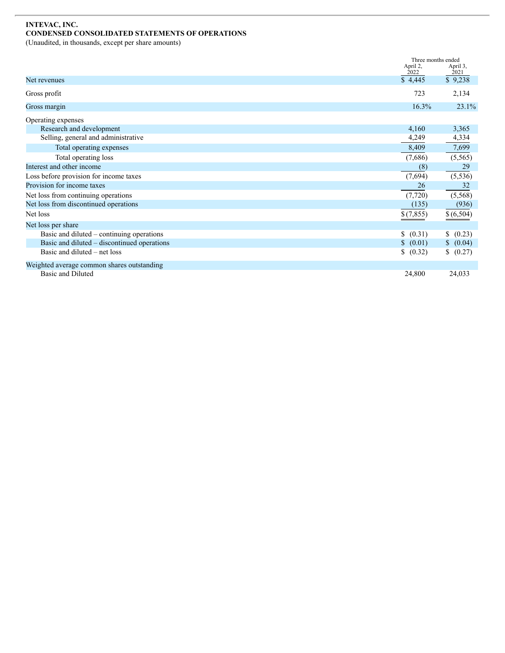# **INTEVAC, INC. CONDENSED CONSOLIDATED STATEMENTS OF OPERATIONS**

(Unaudited, in thousands, except per share amounts)

|                                             | April 2,  | Three months ended<br>April 3, |  |
|---------------------------------------------|-----------|--------------------------------|--|
|                                             | 2022      | 2021                           |  |
| Net revenues                                | \$4,445   | \$9,238                        |  |
| Gross profit                                | 723       | 2,134                          |  |
| Gross margin                                | 16.3%     | 23.1%                          |  |
| Operating expenses                          |           |                                |  |
| Research and development                    | 4,160     | 3,365                          |  |
| Selling, general and administrative         | 4,249     | 4,334                          |  |
| Total operating expenses                    | 8,409     | 7,699                          |  |
| Total operating loss                        | (7,686)   | (5, 565)                       |  |
| Interest and other income                   | (8)       | 29                             |  |
| Loss before provision for income taxes      | (7,694)   | (5, 536)                       |  |
| Provision for income taxes                  | 26        | 32                             |  |
| Net loss from continuing operations         | (7,720)   | (5,568)                        |  |
| Net loss from discontinued operations       | (135)     | (936)                          |  |
| Net loss                                    | \$(7,855) | \$ (6,504)                     |  |
| Net loss per share                          |           |                                |  |
| Basic and diluted – continuing operations   | (0.31)    | (0.23)                         |  |
| Basic and diluted – discontinued operations | \$ (0.01) | \$ (0.04)                      |  |
| Basic and diluted – net loss                | (0.32)    | \$ (0.27)                      |  |
| Weighted average common shares outstanding  |           |                                |  |
| Basic and Diluted                           | 24,800    | 24,033                         |  |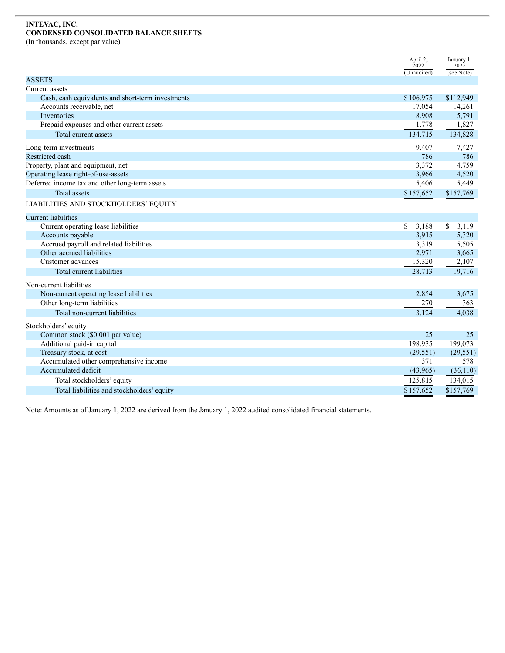## **INTEVAC, INC. CONDENSED CONSOLIDATED BALANCE SHEETS**

(In thousands, except par value)

|                                                   | April 2,<br>2022 | January 1,<br>2022    |
|---------------------------------------------------|------------------|-----------------------|
|                                                   | (Unaudited)      | (see Note)            |
| <b>ASSETS</b>                                     |                  |                       |
| Current assets                                    |                  |                       |
| Cash, cash equivalents and short-term investments | \$106,975        | \$112,949             |
| Accounts receivable, net                          | 17,054           | 14,261                |
| Inventories                                       | 8,908            | 5,791                 |
| Prepaid expenses and other current assets         | 1,778            | 1,827                 |
| Total current assets                              | 134,715          | 134,828               |
| Long-term investments                             | 9,407            | 7,427                 |
| <b>Restricted cash</b>                            | 786              | 786                   |
| Property, plant and equipment, net                | 3,372            | 4,759                 |
| Operating lease right-of-use-assets               | 3,966            | 4,520                 |
| Deferred income tax and other long-term assets    | 5,406            | 5,449                 |
| <b>Total assets</b>                               | \$157,652        | \$157,769             |
| LIABILITIES AND STOCKHOLDERS' EQUITY              |                  |                       |
| <b>Current liabilities</b>                        |                  |                       |
| Current operating lease liabilities               | \$<br>3,188      | $\mathbb{S}$<br>3,119 |
| Accounts payable                                  | 3,915            | 5,320                 |
| Accrued payroll and related liabilities           | 3,319            | 5,505                 |
| Other accrued liabilities                         | 2,971            | 3,665                 |
| Customer advances                                 | 15,320           | 2,107                 |
| Total current liabilities                         | 28,713           | 19,716                |
| Non-current liabilities                           |                  |                       |
| Non-current operating lease liabilities           | 2,854            | 3,675                 |
| Other long-term liabilities                       | 270              | 363                   |
| Total non-current liabilities                     | 3,124            | 4,038                 |
| Stockholders' equity                              |                  |                       |
| Common stock (\$0.001 par value)                  | 25               | 25                    |
| Additional paid-in capital                        | 198,935          | 199,073               |
| Treasury stock, at cost                           | (29, 551)        | (29, 551)             |
| Accumulated other comprehensive income            | 371              | 578                   |
| Accumulated deficit                               | (43,965)         | (36,110)              |
| Total stockholders' equity                        | 125,815          | 134,015               |
| Total liabilities and stockholders' equity        | \$157,652        | \$157,769             |

Note: Amounts as of January 1, 2022 are derived from the January 1, 2022 audited consolidated financial statements.